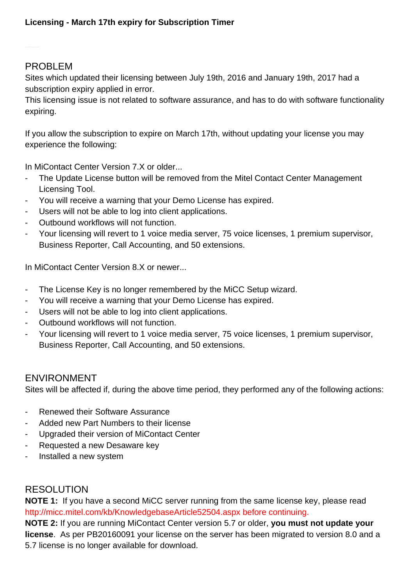## PROBLEM

Sites which updated their licensing between July 19th, 2016 and January 19th, 2017 had a subscription expiry applied in error.

This licensing issue is not related to software assurance, and has to do with software functionality expiring.

If you allow the subscription to expire on March 17th, without updating your license you may experience the following:

In MiContact Center Version 7.X or older...

- The Update License button will be removed from the Mitel Contact Center Management Licensing Tool.
- You will receive a warning that your Demo License has expired.
- Users will not be able to log into client applications.
- Outbound workflows will not function.
- Your licensing will revert to 1 voice media server, 75 voice licenses, 1 premium supervisor, Business Reporter, Call Accounting, and 50 extensions.

In MiContact Center Version 8.X or newer...

- The License Key is no longer remembered by the MiCC Setup wizard.
- You will receive a warning that your Demo License has expired.
- Users will not be able to log into client applications.
- Outbound workflows will not function.
- Your licensing will revert to 1 voice media server, 75 voice licenses, 1 premium supervisor, Business Reporter, Call Accounting, and 50 extensions.

# ENVIRONMENT

Sites will be affected if, during the above time period, they performed any of the following actions:

- Renewed their Software Assurance
- Added new Part Numbers to their license
- Upgraded their version of MiContact Center
- Requested a new Desaware key
- Installed a new system

## RESOLUTION

**NOTE 1:** If you have a second MiCC server running from the same license key, please read [http://micc.mitel.com/kb/KnowledgebaseArticle52504.aspx](/kb/KnowledgebaseArticle52504.aspx) before continuing.

**NOTE 2:** If you are running MiContact Center version 5.7 or older, **you must not update your license**. As per PB20160091 your license on the server has been migrated to version 8.0 and a 5.7 license is no longer available for download.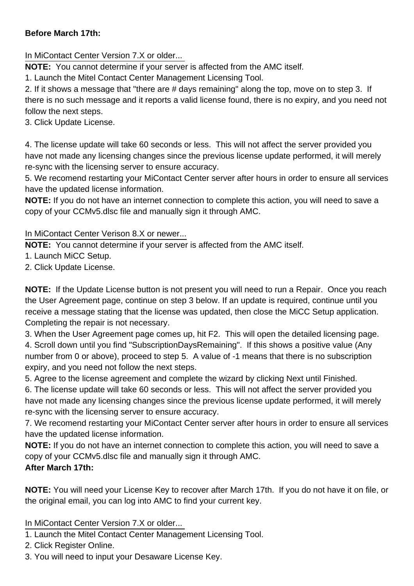### **Before March 17th:**

In MiContact Center Version 7.X or older...

**NOTE:** You cannot determine if your server is affected from the AMC itself.

1. Launch the Mitel Contact Center Management Licensing Tool.

2. If it shows a message that "there are # days remaining" along the top, move on to step 3. If there is no such message and it reports a valid license found, there is no expiry, and you need not follow the next steps.

3. Click Update License.

4. The license update will take 60 seconds or less. This will not affect the server provided you have not made any licensing changes since the previous license update performed, it will merely re-sync with the licensing server to ensure accuracy.

5. We recomend restarting your MiContact Center server after hours in order to ensure all services have the updated license information.

**NOTE:** If you do not have an internet connection to complete this action, you will need to save a copy of your CCMv5.dlsc file and manually sign it through AMC.

### In MiContact Center Verison 8.X or newer...

**NOTE:** You cannot determine if your server is affected from the AMC itself.

- 1. Launch MiCC Setup.
- 2. Click Update License.

**NOTE:** If the Update License button is not present you will need to run a Repair. Once you reach the User Agreement page, continue on step 3 below. If an update is required, continue until you receive a message stating that the license was updated, then close the MiCC Setup application. Completing the repair is not necessary.

3. When the User Agreement page comes up, hit F2. This will open the detailed licensing page. 4. Scroll down until you find "SubscriptionDaysRemaining". If this shows a positive value (Any

number from 0 or above), proceed to step 5. A value of -1 means that there is no subscription expiry, and you need not follow the next steps.

5. Agree to the license agreement and complete the wizard by clicking Next until Finished.

6. The license update will take 60 seconds or less. This will not affect the server provided you have not made any licensing changes since the previous license update performed, it will merely re-sync with the licensing server to ensure accuracy.

7. We recomend restarting your MiContact Center server after hours in order to ensure all services have the updated license information.

**NOTE:** If you do not have an internet connection to complete this action, you will need to save a copy of your CCMv5.dlsc file and manually sign it through AMC. **After March 17th:**

**NOTE:** You will need your License Key to recover after March 17th. If you do not have it on file, or the original email, you can log into AMC to find your current key.

#### In MiContact Center Version 7.X or older...

1. Launch the Mitel Contact Center Management Licensing Tool.

- 2. Click Register Online.
- 3. You will need to input your Desaware License Key.